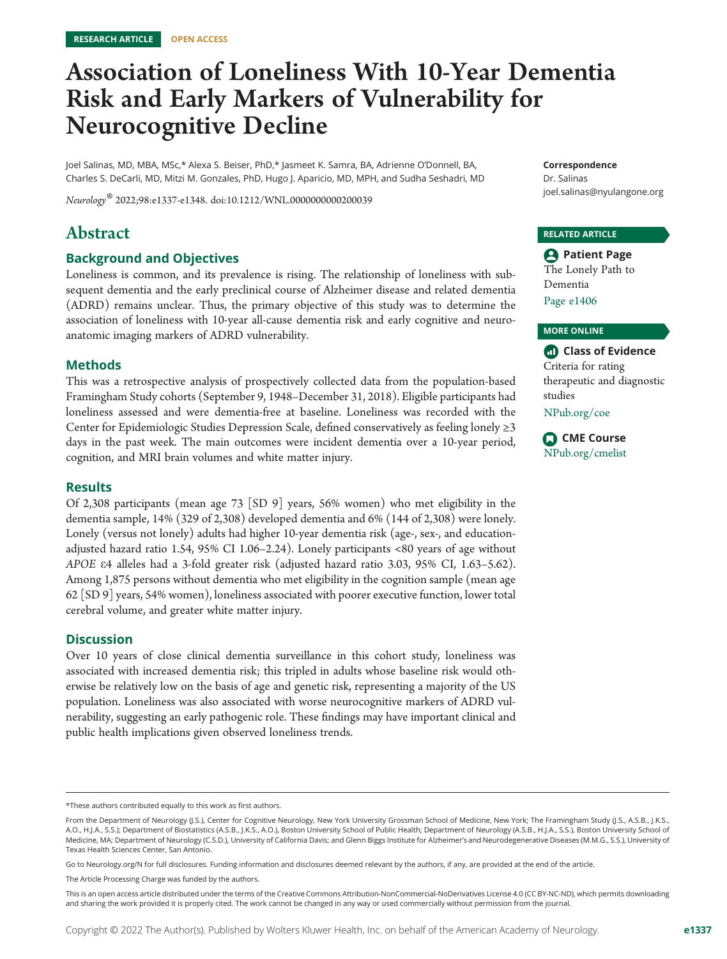### Association of Loneliness With 10-Year Dementia Risk and Early Markers of Vulnerability for Neurocognitive Decline

Joel Salinas, MD, MBA, MSc,\* Alexa S. Beiser, PhD,\* Jasmeet K. Samra, BA, Adrienne O'Donnell, BA, Charles S. DeCarli, MD, Mitzi M. Gonzales, PhD, Hugo J. Aparicio, MD, MPH, and Sudha Seshadri, MD

Neurology® 2022;98:e1337-e1348. doi[:10.1212/WNL.0000000000200039](http://dx.doi.org/10.1212/WNL.0000000000200039)

#### Abstract

#### Background and Objectives

Loneliness is common, and its prevalence is rising. The relationship of loneliness with subsequent dementia and the early preclinical course of Alzheimer disease and related dementia (ADRD) remains unclear. Thus, the primary objective of this study was to determine the association of loneliness with 10-year all-cause dementia risk and early cognitive and neuroanatomic imaging markers of ADRD vulnerability.

#### Methods

This was a retrospective analysis of prospectively collected data from the population-based Framingham Study cohorts (September 9, 1948–December 31, 2018). Eligible participants had loneliness assessed and were dementia-free at baseline. Loneliness was recorded with the Center for Epidemiologic Studies Depression Scale, defined conservatively as feeling lonely ≥3 days in the past week. The main outcomes were incident dementia over a 10-year period, cognition, and MRI brain volumes and white matter injury.

#### Results

Of 2,308 participants (mean age 73 [SD 9] years, 56% women) who met eligibility in the dementia sample, 14% (329 of 2,308) developed dementia and 6% (144 of 2,308) were lonely. Lonely (versus not lonely) adults had higher 10-year dementia risk (age-, sex-, and educationadjusted hazard ratio 1.54, 95% CI 1.06–2.24). Lonely participants <80 years of age without APOE e4 alleles had a 3-fold greater risk (adjusted hazard ratio 3.03, 95% CI, 1.63–5.62). Among 1,875 persons without dementia who met eligibility in the cognition sample (mean age 62 [SD 9] years, 54% women), loneliness associated with poorer executive function, lower total cerebral volume, and greater white matter injury.

#### **Discussion**

Over 10 years of close clinical dementia surveillance in this cohort study, loneliness was associated with increased dementia risk; this tripled in adults whose baseline risk would otherwise be relatively low on the basis of age and genetic risk, representing a majority of the US population. Loneliness was also associated with worse neurocognitive markers of ADRD vulnerability, suggesting an early pathogenic role. These findings may have important clinical and public health implications given observed loneliness trends.

Go to [Neurology.org/N](https://n.neurology.org/lookup/doi/10.1212/WNL.0000000000200039) for full disclosures. Funding information and disclosures deemed relevant by the authors, if any, are provided at the end of the article.

The Article Processing Charge was funded by the authors.

Correspondence

Dr. Salinas [joel.salinas@nyulangone.org](mailto:joel.salinas@nyulangone.org)

#### RELATED ARTICLE

**Patient Page** The Lonely Path to Dementia Page e1406

#### MORE ONLINE

Class of Evidence Criteria for rating therapeutic and diagnostic studies [NPub.org/coe](http://NPub.org/coe)

CME Course [NPub.org/cmelist](http://NPub.org/cmelist)

<sup>\*</sup>These authors contributed equally to this work as first authors.

From the Department of Neurology (J.S.), Center for Cognitive Neurology, New York University Grossman School of Medicine, New York; The Framingham Study (J.S., A.S.B., J.K.S., A.O., H.J.A., S.S.); Department of Biostatistics (A.S.B., J.K.S., A.O.), Boston University School of Public Health; Department of Neurology (A.S.B., H.J.A., S.S.), Boston University School of Medicine, MA; Department of Neurology (C.S.D.), University of California Davis; and Glenn Biggs Institute for Alzheimer's and Neurodegenerative Diseases (M.M.G., S.S.), University of Texas Health Sciences Center, San Antonio.

This is an open access article distributed under the terms of the [Creative Commons Attribution-NonCommercial-NoDerivatives License 4.0 \(CC BY-NC-ND\),](http://creativecommons.org/licenses/by-nc-nd/4.0/) which permits downloading and sharing the work provided it is properly cited. The work cannot be changed in any way or used commercially without permission from the journal.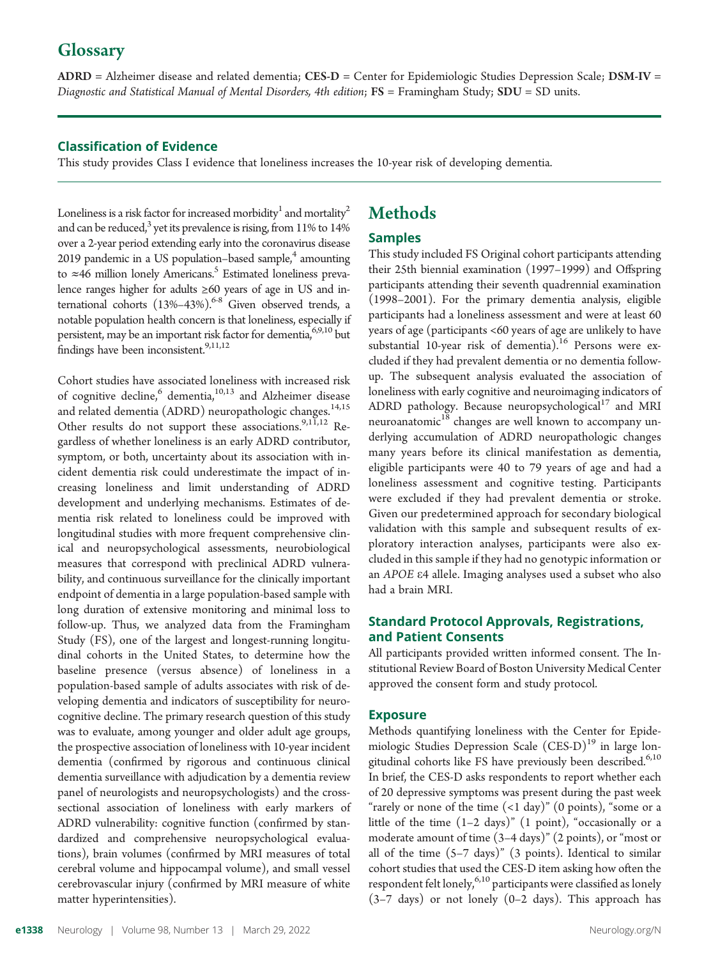#### **Glossary**

ADRD = Alzheimer disease and related dementia; CES-D = Center for Epidemiologic Studies Depression Scale; DSM-IV = Diagnostic and Statistical Manual of Mental Disorders, 4th edition;  $FS = Framingham Study; SDU = SD units.$ 

#### Classification of Evidence

This study provides Class I evidence that loneliness increases the 10-year risk of developing dementia.

Loneliness is a risk factor for increased morbidity<sup>1</sup> and mortality<sup>2</sup> and can be reduced, $^3$  yet its prevalence is rising, from 11% to 14% over a 2-year period extending early into the coronavirus disease 2019 pandemic in a US population–based sample, $4$  amounting to  $\approx$ 46 million lonely Americans.<sup>5</sup> Estimated loneliness prevalence ranges higher for adults ≥60 years of age in US and international cohorts  $(13\% - 43\%)$ .<sup>6-8</sup> Given observed trends, a notable population health concern is that loneliness, especially if persistent, may be an important risk factor for dementia,<sup>6,9,10</sup> but findings have been inconsistent.<sup>9,11,12</sup>

Cohort studies have associated loneliness with increased risk of cognitive decline,  $6 \text{ elementia}$ ,  $10,13$  and Alzheimer disease and related dementia (ADRD) neuropathologic changes.<sup>14,15</sup> Other results do not support these associations.<sup>9,11,12</sup> Regardless of whether loneliness is an early ADRD contributor, symptom, or both, uncertainty about its association with incident dementia risk could underestimate the impact of increasing loneliness and limit understanding of ADRD development and underlying mechanisms. Estimates of dementia risk related to loneliness could be improved with longitudinal studies with more frequent comprehensive clinical and neuropsychological assessments, neurobiological measures that correspond with preclinical ADRD vulnerability, and continuous surveillance for the clinically important endpoint of dementia in a large population-based sample with long duration of extensive monitoring and minimal loss to follow-up. Thus, we analyzed data from the Framingham Study (FS), one of the largest and longest-running longitudinal cohorts in the United States, to determine how the baseline presence (versus absence) of loneliness in a population-based sample of adults associates with risk of developing dementia and indicators of susceptibility for neurocognitive decline. The primary research question of this study was to evaluate, among younger and older adult age groups, the prospective association of loneliness with 10-year incident dementia (confirmed by rigorous and continuous clinical dementia surveillance with adjudication by a dementia review panel of neurologists and neuropsychologists) and the crosssectional association of loneliness with early markers of ADRD vulnerability: cognitive function (confirmed by standardized and comprehensive neuropsychological evaluations), brain volumes (confirmed by MRI measures of total cerebral volume and hippocampal volume), and small vessel cerebrovascular injury (confirmed by MRI measure of white matter hyperintensities).

#### Methods

#### Samples

This study included FS Original cohort participants attending their 25th biennial examination (1997–1999) and Offspring participants attending their seventh quadrennial examination (1998–2001). For the primary dementia analysis, eligible participants had a loneliness assessment and were at least 60 years of age (participants <60 years of age are unlikely to have substantial 10-year risk of dementia).<sup>16</sup> Persons were excluded if they had prevalent dementia or no dementia followup. The subsequent analysis evaluated the association of loneliness with early cognitive and neuroimaging indicators of ADRD pathology. Because neuropsychological<sup>17</sup> and MRI neuroanatomic<sup>18</sup> changes are well known to accompany underlying accumulation of ADRD neuropathologic changes many years before its clinical manifestation as dementia, eligible participants were 40 to 79 years of age and had a loneliness assessment and cognitive testing. Participants were excluded if they had prevalent dementia or stroke. Given our predetermined approach for secondary biological validation with this sample and subsequent results of exploratory interaction analyses, participants were also excluded in this sample if they had no genotypic information or an APOE e4 allele. Imaging analyses used a subset who also had a brain MRI.

#### Standard Protocol Approvals, Registrations, and Patient Consents

All participants provided written informed consent. The Institutional Review Board of Boston University Medical Center approved the consent form and study protocol.

#### Exposure

Methods quantifying loneliness with the Center for Epidemiologic Studies Depression Scale  $(CES-D)^{19}$  in large longitudinal cohorts like FS have previously been described.<sup>6,10</sup> In brief, the CES-D asks respondents to report whether each of 20 depressive symptoms was present during the past week "rarely or none of the time  $(1 day)$ "  $(0 points)$ , "some or a little of the time (1–2 days)" (1 point), "occasionally or a moderate amount of time (3–4 days)" (2 points), or "most or all of the time  $(5-7 \text{ days})$ "  $(3 \text{ points})$ . Identical to similar cohort studies that used the CES-D item asking how often the respondent felt lonely,  $6,10$  participants were classified as lonely (3–7 days) or not lonely (0–2 days). This approach has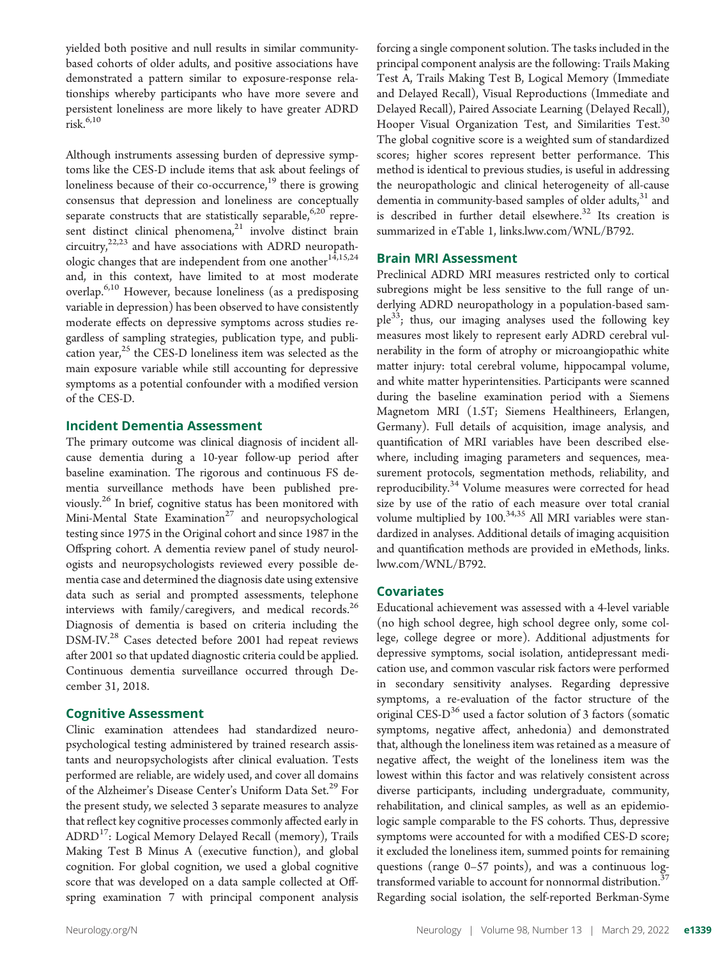yielded both positive and null results in similar communitybased cohorts of older adults, and positive associations have demonstrated a pattern similar to exposure-response relationships whereby participants who have more severe and persistent loneliness are more likely to have greater ADRD  $risk<sup>6,10</sup>$ 

Although instruments assessing burden of depressive symptoms like the CES-D include items that ask about feelings of loneliness because of their co-occurrence,<sup>19</sup> there is growing consensus that depression and loneliness are conceptually separate constructs that are statistically separable,  $6,20$  represent distinct clinical phenomena,<sup>21</sup> involve distinct brain circuitry, $22,23$  and have associations with ADRD neuropathologic changes that are independent from one another $14,15,24$ and, in this context, have limited to at most moderate overlap.6,10 However, because loneliness (as a predisposing variable in depression) has been observed to have consistently moderate effects on depressive symptoms across studies regardless of sampling strategies, publication type, and publication year, $25$  the CES-D loneliness item was selected as the main exposure variable while still accounting for depressive symptoms as a potential confounder with a modified version of the CES-D.

#### Incident Dementia Assessment

The primary outcome was clinical diagnosis of incident allcause dementia during a 10-year follow-up period after baseline examination. The rigorous and continuous FS dementia surveillance methods have been published previously.26 In brief, cognitive status has been monitored with Mini-Mental State Examination<sup>27</sup> and neuropsychological testing since 1975 in the Original cohort and since 1987 in the Offspring cohort. A dementia review panel of study neurologists and neuropsychologists reviewed every possible dementia case and determined the diagnosis date using extensive data such as serial and prompted assessments, telephone interviews with family/caregivers, and medical records.<sup>26</sup> Diagnosis of dementia is based on criteria including the DSM-IV.<sup>28</sup> Cases detected before 2001 had repeat reviews after 2001 so that updated diagnostic criteria could be applied. Continuous dementia surveillance occurred through December 31, 2018.

#### Cognitive Assessment

Clinic examination attendees had standardized neuropsychological testing administered by trained research assistants and neuropsychologists after clinical evaluation. Tests performed are reliable, are widely used, and cover all domains of the Alzheimer's Disease Center's Uniform Data Set.<sup>29</sup> For the present study, we selected 3 separate measures to analyze that reflect key cognitive processes commonly affected early in ADRD<sup>17</sup>: Logical Memory Delayed Recall (memory), Trails Making Test B Minus A (executive function), and global cognition. For global cognition, we used a global cognitive score that was developed on a data sample collected at Offspring examination 7 with principal component analysis

forcing a single component solution. The tasks included in the principal component analysis are the following: Trails Making Test A, Trails Making Test B, Logical Memory (Immediate and Delayed Recall), Visual Reproductions (Immediate and Delayed Recall), Paired Associate Learning (Delayed Recall), Hooper Visual Organization Test, and Similarities Test.<sup>30</sup> The global cognitive score is a weighted sum of standardized scores; higher scores represent better performance. This method is identical to previous studies, is useful in addressing the neuropathologic and clinical heterogeneity of all-cause dementia in community-based samples of older adults, $31$  and is described in further detail elsewhere.<sup>32</sup> Its creation is summarized in eTable 1, [links.lww.com/WNL/B792.](http://links.lww.com/WNL/B792)

#### Brain MRI Assessment

Preclinical ADRD MRI measures restricted only to cortical subregions might be less sensitive to the full range of underlying ADRD neuropathology in a population-based sam $ple<sup>33</sup>$ ; thus, our imaging analyses used the following key measures most likely to represent early ADRD cerebral vulnerability in the form of atrophy or microangiopathic white matter injury: total cerebral volume, hippocampal volume, and white matter hyperintensities. Participants were scanned during the baseline examination period with a Siemens Magnetom MRI (1.5T; Siemens Healthineers, Erlangen, Germany). Full details of acquisition, image analysis, and quantification of MRI variables have been described elsewhere, including imaging parameters and sequences, measurement protocols, segmentation methods, reliability, and reproducibility.<sup>34</sup> Volume measures were corrected for head size by use of the ratio of each measure over total cranial volume multiplied by 100.<sup>34,35</sup> All MRI variables were standardized in analyses. Additional details of imaging acquisition and quantification methods are provided in eMethods, [links.](http://links.lww.com/WNL/B792) [lww.com/WNL/B792](http://links.lww.com/WNL/B792).

#### Covariates

Educational achievement was assessed with a 4-level variable (no high school degree, high school degree only, some college, college degree or more). Additional adjustments for depressive symptoms, social isolation, antidepressant medication use, and common vascular risk factors were performed in secondary sensitivity analyses. Regarding depressive symptoms, a re-evaluation of the factor structure of the original CES- $D^{36}$  used a factor solution of 3 factors (somatic symptoms, negative affect, anhedonia) and demonstrated that, although the loneliness item was retained as a measure of negative affect, the weight of the loneliness item was the lowest within this factor and was relatively consistent across diverse participants, including undergraduate, community, rehabilitation, and clinical samples, as well as an epidemiologic sample comparable to the FS cohorts. Thus, depressive symptoms were accounted for with a modified CES-D score; it excluded the loneliness item, summed points for remaining questions (range 0–57 points), and was a continuous logtransformed variable to account for nonnormal distribution.<sup>3</sup> Regarding social isolation, the self-reported Berkman-Syme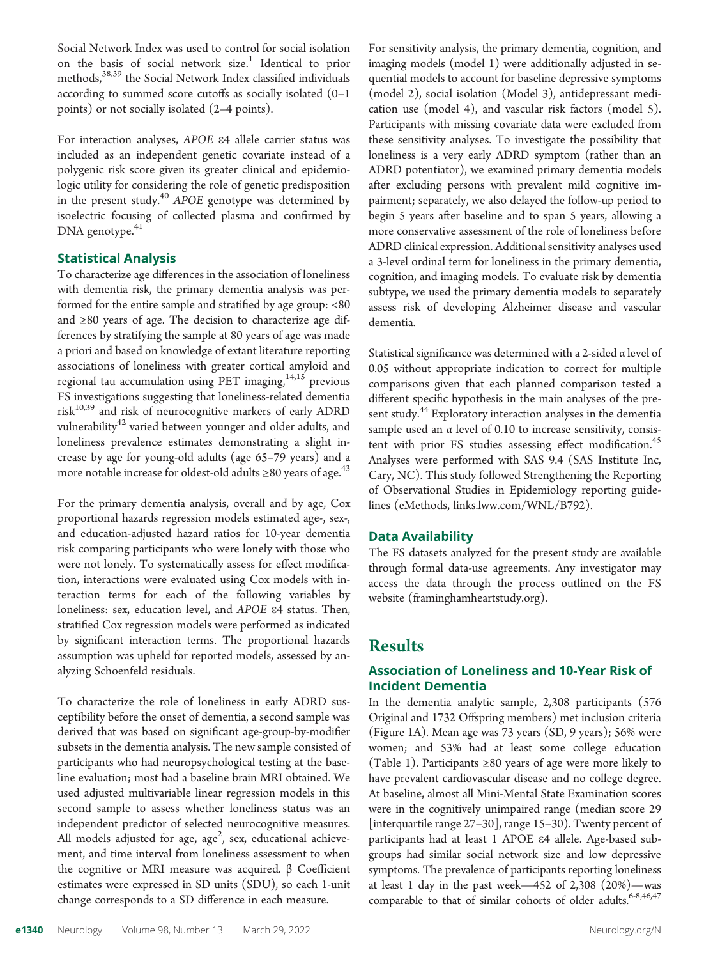Social Network Index was used to control for social isolation on the basis of social network size.<sup>1</sup> Identical to prior methods,<sup>38,39</sup> the Social Network Index classified individuals according to summed score cutoffs as socially isolated (0–1 points) or not socially isolated (2–4 points).

For interaction analyses, APOE e4 allele carrier status was included as an independent genetic covariate instead of a polygenic risk score given its greater clinical and epidemiologic utility for considering the role of genetic predisposition in the present study.<sup>40</sup> APOE genotype was determined by isoelectric focusing of collected plasma and confirmed by DNA genotype.<sup>41</sup>

#### Statistical Analysis

To characterize age differences in the association of loneliness with dementia risk, the primary dementia analysis was performed for the entire sample and stratified by age group: <80 and ≥80 years of age. The decision to characterize age differences by stratifying the sample at 80 years of age was made a priori and based on knowledge of extant literature reporting associations of loneliness with greater cortical amyloid and regional tau accumulation using PET imaging, $14,15$  previous FS investigations suggesting that loneliness-related dementia  $risk^{10,39}$  and risk of neurocognitive markers of early ADRD vulnerability<sup>42</sup> varied between younger and older adults, and loneliness prevalence estimates demonstrating a slight increase by age for young-old adults (age 65–79 years) and a more notable increase for oldest-old adults  $\geq 80$  years of age.<sup>43</sup>

For the primary dementia analysis, overall and by age, Cox proportional hazards regression models estimated age-, sex-, and education-adjusted hazard ratios for 10-year dementia risk comparing participants who were lonely with those who were not lonely. To systematically assess for effect modification, interactions were evaluated using Cox models with interaction terms for each of the following variables by loneliness: sex, education level, and APOE e4 status. Then, stratified Cox regression models were performed as indicated by significant interaction terms. The proportional hazards assumption was upheld for reported models, assessed by analyzing Schoenfeld residuals.

To characterize the role of loneliness in early ADRD susceptibility before the onset of dementia, a second sample was derived that was based on significant age-group-by-modifier subsets in the dementia analysis. The new sample consisted of participants who had neuropsychological testing at the baseline evaluation; most had a baseline brain MRI obtained. We used adjusted multivariable linear regression models in this second sample to assess whether loneliness status was an independent predictor of selected neurocognitive measures. All models adjusted for age, age<sup>2</sup>, sex, educational achievement, and time interval from loneliness assessment to when the cognitive or MRI measure was acquired. β Coefficient estimates were expressed in SD units (SDU), so each 1-unit change corresponds to a SD difference in each measure.

For sensitivity analysis, the primary dementia, cognition, and imaging models (model 1) were additionally adjusted in sequential models to account for baseline depressive symptoms (model 2), social isolation (Model 3), antidepressant medication use (model 4), and vascular risk factors (model 5). Participants with missing covariate data were excluded from these sensitivity analyses. To investigate the possibility that loneliness is a very early ADRD symptom (rather than an ADRD potentiator), we examined primary dementia models after excluding persons with prevalent mild cognitive impairment; separately, we also delayed the follow-up period to begin 5 years after baseline and to span 5 years, allowing a more conservative assessment of the role of loneliness before ADRD clinical expression. Additional sensitivity analyses used a 3-level ordinal term for loneliness in the primary dementia, cognition, and imaging models. To evaluate risk by dementia subtype, we used the primary dementia models to separately assess risk of developing Alzheimer disease and vascular dementia.

Statistical significance was determined with a 2-sided α level of 0.05 without appropriate indication to correct for multiple comparisons given that each planned comparison tested a different specific hypothesis in the main analyses of the present study.<sup>44</sup> Exploratory interaction analyses in the dementia sample used an α level of 0.10 to increase sensitivity, consistent with prior FS studies assessing effect modification.<sup>45</sup> Analyses were performed with SAS 9.4 (SAS Institute Inc, Cary, NC). This study followed Strengthening the Reporting of Observational Studies in Epidemiology reporting guidelines (eMethods, [links.lww.com/WNL/B792](http://links.lww.com/WNL/B792)).

#### Data Availability

The FS datasets analyzed for the present study are available through formal data-use agreements. Any investigator may access the data through the process outlined on the FS website [\(framinghamheartstudy.org](http://framinghamheartstudy.org)).

#### **Results**

#### Association of Loneliness and 10-Year Risk of Incident Dementia

In the dementia analytic sample, 2,308 participants (576 Original and 1732 Offspring members) met inclusion criteria (Figure 1A). Mean age was 73 years (SD, 9 years); 56% were women; and 53% had at least some college education (Table 1). Participants ≥80 years of age were more likely to have prevalent cardiovascular disease and no college degree. At baseline, almost all Mini-Mental State Examination scores were in the cognitively unimpaired range (median score 29 [interquartile range 27–30], range 15–30). Twenty percent of participants had at least 1 APOE e4 allele. Age-based subgroups had similar social network size and low depressive symptoms. The prevalence of participants reporting loneliness at least 1 day in the past week—452 of  $2,308$   $(20%)$ —was comparable to that of similar cohorts of older adults.<sup>6-8,46,47</sup>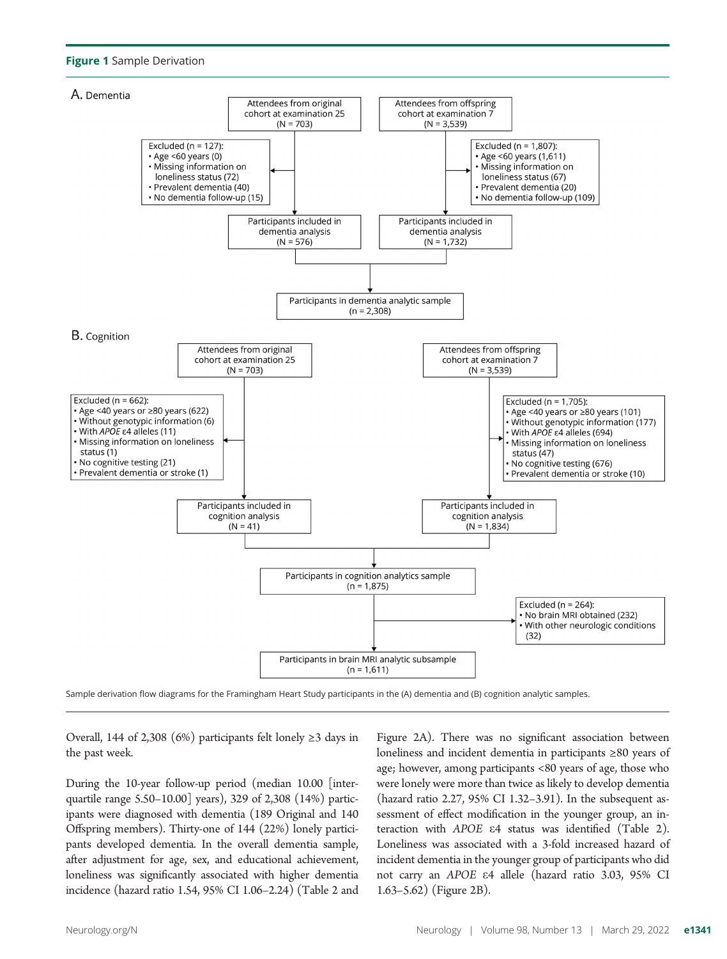#### Figure 1 Sample Derivation



Sample derivation flow diagrams for the Framingham Heart Study participants in the (A) dementia and (B) cognition analytic samples.

Overall, 144 of 2,308 (6%) participants felt lonely  $\geq$ 3 days in the past week.

During the 10-year follow-up period (median 10.00 [interquartile range 5.50–10.00] years), 329 of 2,308 (14%) participants were diagnosed with dementia (189 Original and 140 Offspring members). Thirty-one of 144 (22%) lonely participants developed dementia. In the overall dementia sample, after adjustment for age, sex, and educational achievement, loneliness was significantly associated with higher dementia incidence (hazard ratio 1.54, 95% CI 1.06–2.24) (Table 2 and

Figure 2A). There was no significant association between loneliness and incident dementia in participants ≥80 years of age; however, among participants <80 years of age, those who were lonely were more than twice as likely to develop dementia (hazard ratio 2.27, 95% CI 1.32–3.91). In the subsequent assessment of effect modification in the younger group, an interaction with APOE e4 status was identified (Table 2). Loneliness was associated with a 3-fold increased hazard of incident dementia in the younger group of participants who did not carry an APOE e4 allele (hazard ratio 3.03, 95% CI 1.63–5.62) (Figure 2B).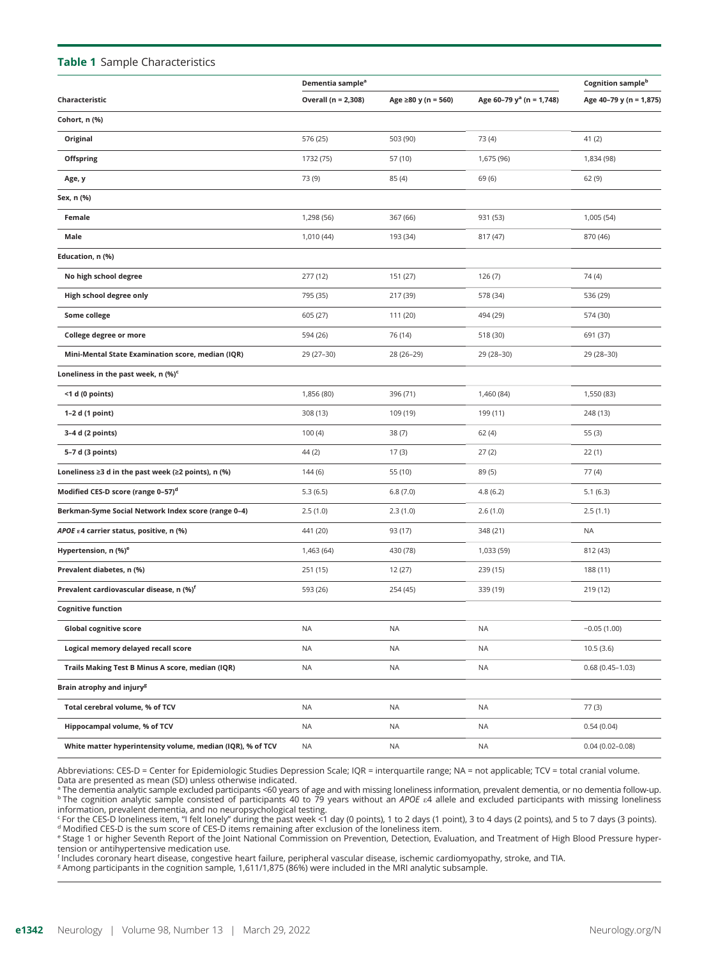#### Table 1 Sample Characteristics

|                                                            | Dementia sample <sup>a</sup> |                     |                                      | Cognition sample <sup>b</sup> |
|------------------------------------------------------------|------------------------------|---------------------|--------------------------------------|-------------------------------|
| Characteristic                                             | Overall (n = 2,308)          | Age ≥80 y (n = 560) | Age 60-79 y <sup>a</sup> (n = 1,748) | Age 40-79 y (n = 1,875)       |
| Cohort, n (%)                                              |                              |                     |                                      |                               |
| Original                                                   | 576 (25)                     | 503 (90)            | 73 (4)                               | 41(2)                         |
| Offspring                                                  | 1732 (75)                    | 57 (10)             | 1,675 (96)                           | 1,834 (98)                    |
| Age, y                                                     | 73 (9)                       | 85 (4)              | 69 (6)                               | 62(9)                         |
| Sex, n (%)                                                 |                              |                     |                                      |                               |
| Female                                                     | 1,298 (56)                   | 367 (66)            | 931 (53)                             | 1,005 (54)                    |
| Male                                                       | 1,010 (44)                   | 193 (34)            | 817 (47)                             | 870 (46)                      |
| Education, n (%)                                           |                              |                     |                                      |                               |
| No high school degree                                      | 277 (12)                     | 151 (27)            | 126(7)                               | 74 (4)                        |
| High school degree only                                    | 795 (35)                     | 217 (39)            | 578 (34)                             | 536 (29)                      |
| Some college                                               | 605 (27)                     | 111 (20)            | 494 (29)                             | 574 (30)                      |
| College degree or more                                     | 594 (26)                     | 76 (14)             | 518 (30)                             | 691 (37)                      |
| Mini-Mental State Examination score, median (IQR)          | 29 (27-30)                   | 28 (26-29)          | 29 (28-30)                           | 29 (28-30)                    |
| Loneliness in the past week, n (%) <sup>c</sup>            |                              |                     |                                      |                               |
| <1 d (0 points)                                            | 1,856 (80)                   | 396 (71)            | 1,460 (84)                           | 1,550 (83)                    |
| 1-2 d (1 point)                                            | 308 (13)                     | 109 (19)            | 199 (11)                             | 248 (13)                      |
| 3-4 d (2 points)                                           | 100(4)                       | 38(7)               | 62(4)                                | 55(3)                         |
| 5-7 d (3 points)                                           | 44 (2)                       | 17(3)               | 27(2)                                | 22(1)                         |
| Loneliness ≥3 d in the past week (≥2 points), n (%)        | 144 (6)                      | 55 (10)             | 89 (5)                               | 77(4)                         |
| Modified CES-D score (range 0-57) <sup>d</sup>             | 5.3(6.5)                     | 6.8(7.0)            | 4.8(6.2)                             | 5.1(6.3)                      |
| Berkman-Syme Social Network Index score (range 0-4)        | 2.5(1.0)                     | 2.3(1.0)            | 2.6(1.0)                             | 2.5(1.1)                      |
| APOE $\epsilon$ 4 carrier status, positive, n (%)          | 441 (20)                     | 93 (17)             | 348 (21)                             | <b>NA</b>                     |
| Hypertension, n (%) <sup>e</sup>                           | 1,463 (64)                   | 430 (78)            | 1,033 (59)                           | 812 (43)                      |
| Prevalent diabetes, n (%)                                  | 251 (15)                     | 12 (27)             | 239 (15)                             | 188 (11)                      |
| Prevalent cardiovascular disease, n (%) <sup>f</sup>       | 593 (26)                     | 254 (45)            | 339 (19)                             | 219 (12)                      |
| <b>Cognitive function</b>                                  |                              |                     |                                      |                               |
| <b>Global cognitive score</b>                              | <b>NA</b>                    | NA                  | <b>NA</b>                            | $-0.05(1.00)$                 |
| Logical memory delayed recall score                        | NA                           | NA                  | ΝA                                   | 10.5(3.6)                     |
| Trails Making Test B Minus A score, median (IQR)           | NA                           | NA                  | NA                                   | $0.68(0.45 - 1.03)$           |
| Brain atrophy and injury <sup>g</sup>                      |                              |                     |                                      |                               |
| Total cerebral volume, % of TCV                            | NA                           | <b>NA</b>           | ΝA                                   | 77(3)                         |
| Hippocampal volume, % of TCV                               | NA                           | NA                  | NA.                                  | 0.54(0.04)                    |
| White matter hyperintensity volume, median (IQR), % of TCV | <b>NA</b>                    | <b>NA</b>           | <b>NA</b>                            | $0.04(0.02 - 0.08)$           |

Abbreviations: CES-D = Center for Epidemiologic Studies Depression Scale; IQR = interquartile range; NA = not applicable; TCV = total cranial volume. Data are presented as mean (SD) unless otherwise indicated.

<sup>a</sup> The dementia analytic sample excluded participants <60 years of age and with missing loneliness information, prevalent dementia, or no dementia follow-up.  $b$  The cognition analytic sample consisted of participants 40 to 79 years without an APOE e4 allele and excluded participants with missing loneliness

information, prevalent dementia, and no neuropsychological testing.<br><sup>c</sup> For the CES-D loneliness item, "I felt lonely" during the past week <1 day (0 points), 1 to 2 days (1 point), 3 to 4 days (2 points), and 5 to 7 days

<sup>e</sup> Stage 1 or higher Seventh Report of the Joint National Commission on Prevention, Detection, Evaluation, and Treatment of High Blood Pressure hypertension or antihypertensive medication use.

<sup>f</sup> Includes coronary heart disease, congestive heart failure, peripheral vascular disease, ischemic cardiomyopathy, stroke, and TIA.<br><sup>8</sup> Among participants in the cognition sample, 1,611/1,875 (86%) were included in the M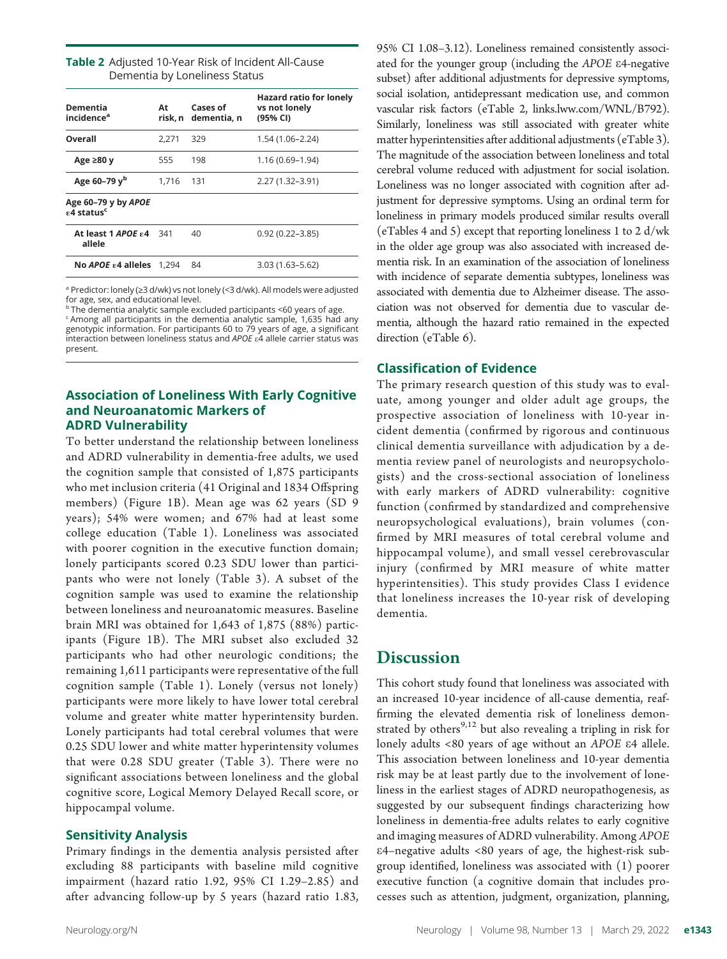| Table 2 Adjusted 10-Year Risk of Incident All-Cause |
|-----------------------------------------------------|
| Dementia by Loneliness Status                       |

| Dementia<br>incidence <sup>a</sup>                  | At    | Cases of<br>risk. n dementia. n | <b>Hazard ratio for lonely</b><br>vs not lonely<br>(95% CI) |
|-----------------------------------------------------|-------|---------------------------------|-------------------------------------------------------------|
| Overall                                             | 2.271 | 329                             | 1.54 (1.06–2.24)                                            |
| Age $\geq 80$ y                                     | 555   | 198                             | 1.16 (0.69–1.94)                                            |
| Age $60 - 79$ y <sup>b</sup>                        | 1.716 | 131                             | 2.27 (1.32-3.91)                                            |
| Age 60-79 y by APOE<br><b>£4 status<sup>c</sup></b> |       |                                 |                                                             |
| <b>At least 1 APOE £4 341</b><br>allele             |       | 40                              | $0.92(0.22 - 3.85)$                                         |
| No <i>APOE</i> ε4 alleles 1.294                     |       | 84                              | 3.03 (1.63–5.62)                                            |

<sup>a</sup> Predictor: lonely (≥3 d/wk) vs not lonely (<3 d/wk). All models were adjusted for age, sex, and educational level.

<sup>b</sup> The dementia analytic sample excluded participants <60 years of age. <sup>c</sup> Among all participants in the dementia analytic sample, 1,635 had any genotypic information. For participants 60 to 79 years of age, a significant<br>interaction between loneliness status and APOE ε4 allele carrier status was

## present.

#### Association of Loneliness With Early Cognitive and Neuroanatomic Markers of ADRD Vulnerability

To better understand the relationship between loneliness and ADRD vulnerability in dementia-free adults, we used the cognition sample that consisted of 1,875 participants who met inclusion criteria (41 Original and 1834 Offspring members) (Figure 1B). Mean age was 62 years (SD 9 years); 54% were women; and 67% had at least some college education (Table 1). Loneliness was associated with poorer cognition in the executive function domain; lonely participants scored 0.23 SDU lower than participants who were not lonely (Table 3). A subset of the cognition sample was used to examine the relationship between loneliness and neuroanatomic measures. Baseline brain MRI was obtained for 1,643 of 1,875 (88%) participants (Figure 1B). The MRI subset also excluded 32 participants who had other neurologic conditions; the remaining 1,611 participants were representative of the full cognition sample (Table 1). Lonely (versus not lonely) participants were more likely to have lower total cerebral volume and greater white matter hyperintensity burden. Lonely participants had total cerebral volumes that were 0.25 SDU lower and white matter hyperintensity volumes that were 0.28 SDU greater (Table 3). There were no significant associations between loneliness and the global cognitive score, Logical Memory Delayed Recall score, or hippocampal volume.

#### Sensitivity Analysis

Primary findings in the dementia analysis persisted after excluding 88 participants with baseline mild cognitive impairment (hazard ratio 1.92, 95% CI 1.29–2.85) and after advancing follow-up by 5 years (hazard ratio 1.83, 95% CI 1.08–3.12). Loneliness remained consistently associated for the younger group (including the APOE e4-negative subset) after additional adjustments for depressive symptoms, social isolation, antidepressant medication use, and common vascular risk factors (eTable 2, [links.lww.com/WNL/B792\)](http://links.lww.com/WNL/B792). Similarly, loneliness was still associated with greater white matter hyperintensities after additional adjustments (eTable 3). The magnitude of the association between loneliness and total cerebral volume reduced with adjustment for social isolation. Loneliness was no longer associated with cognition after adjustment for depressive symptoms. Using an ordinal term for loneliness in primary models produced similar results overall (eTables 4 and 5) except that reporting loneliness 1 to 2 d/wk in the older age group was also associated with increased dementia risk. In an examination of the association of loneliness with incidence of separate dementia subtypes, loneliness was associated with dementia due to Alzheimer disease. The association was not observed for dementia due to vascular dementia, although the hazard ratio remained in the expected direction (eTable 6).

#### Classification of Evidence

The primary research question of this study was to evaluate, among younger and older adult age groups, the prospective association of loneliness with 10-year incident dementia (confirmed by rigorous and continuous clinical dementia surveillance with adjudication by a dementia review panel of neurologists and neuropsychologists) and the cross-sectional association of loneliness with early markers of ADRD vulnerability: cognitive function (confirmed by standardized and comprehensive neuropsychological evaluations), brain volumes (confirmed by MRI measures of total cerebral volume and hippocampal volume), and small vessel cerebrovascular injury (confirmed by MRI measure of white matter hyperintensities). This study provides Class I evidence that loneliness increases the 10-year risk of developing dementia.

#### **Discussion**

This cohort study found that loneliness was associated with an increased 10-year incidence of all-cause dementia, reaffirming the elevated dementia risk of loneliness demonstrated by others<sup>9,12</sup> but also revealing a tripling in risk for lonely adults <80 years of age without an APOE e4 allele. This association between loneliness and 10-year dementia risk may be at least partly due to the involvement of loneliness in the earliest stages of ADRD neuropathogenesis, as suggested by our subsequent findings characterizing how loneliness in dementia-free adults relates to early cognitive and imaging measures of ADRD vulnerability. Among APOE e4–negative adults <80 years of age, the highest-risk subgroup identified, loneliness was associated with (1) poorer executive function (a cognitive domain that includes processes such as attention, judgment, organization, planning,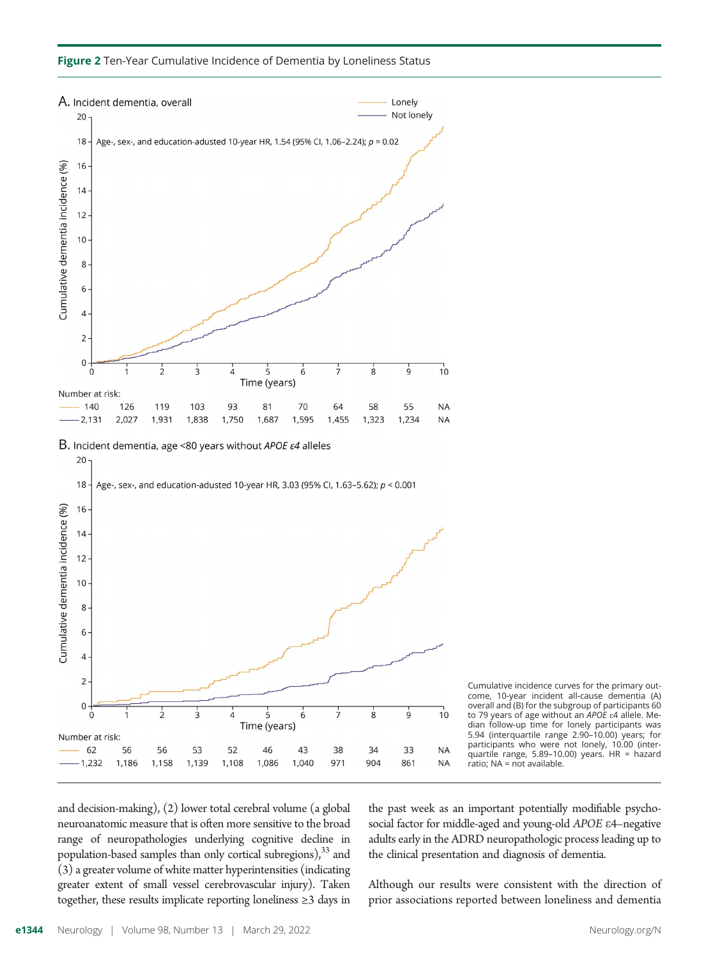





and decision-making), (2) lower total cerebral volume (a global neuroanatomic measure that is often more sensitive to the broad range of neuropathologies underlying cognitive decline in population-based samples than only cortical subregions), $33$  and (3) a greater volume of white matter hyperintensities (indicating greater extent of small vessel cerebrovascular injury). Taken together, these results implicate reporting loneliness ≥3 days in

the past week as an important potentially modifiable psychosocial factor for middle-aged and young-old APOE e4–negative adults early in the ADRD neuropathologic process leading up to the clinical presentation and diagnosis of dementia.

 $10$ 

**NA** 

**NA** 

ġ

33

861

Although our results were consistent with the direction of prior associations reported between loneliness and dementia

 $\overline{\mathcal{L}}$ 

56

1,158

56

1,186

 $\overline{3}$ 

53

1,139

 $\overline{4}$ 

52

1,108

 $\overline{5}$ 

Time (years)

46

1,086

6

43

1,040

ż

38

971

 $\dot{8}$ 

34

904

 $\overline{4}$ 

 $\overline{2}$ 

 $\mathsf 0$ 

 $\Omega$ 

Number at risk:

62

 $-1,232$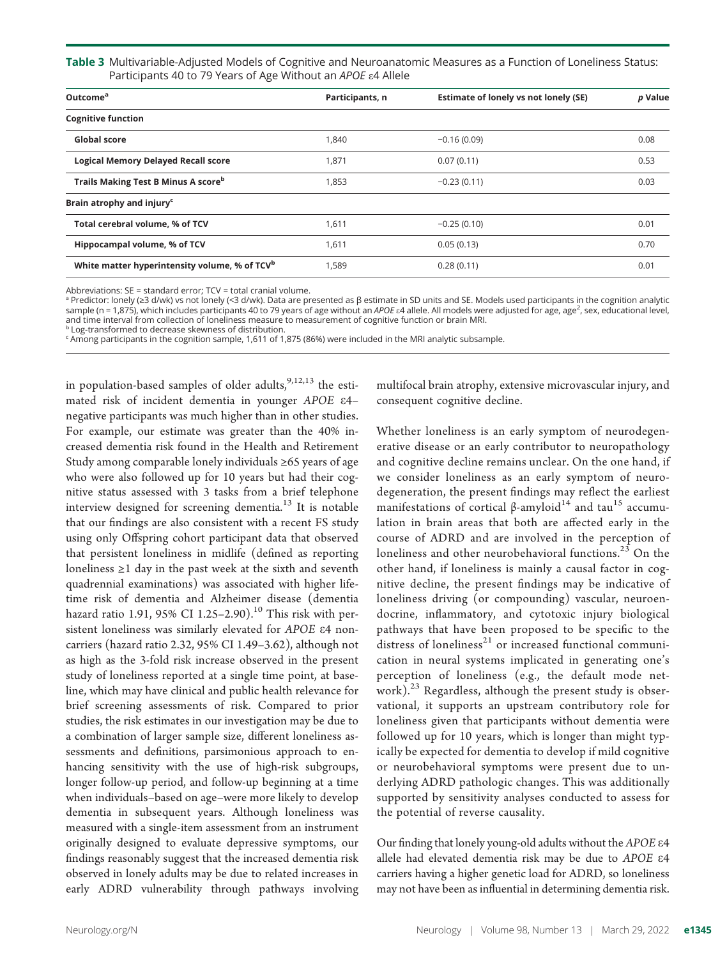Table 3 Multivariable-Adjusted Models of Cognitive and Neuroanatomic Measures as a Function of Loneliness Status: Participants 40 to 79 Years of Age Without an APOE  $\varepsilon$ 4 Allele

| Outcome <sup>a</sup>                                      | Participants, n | Estimate of lonely vs not lonely (SE) | p Value |
|-----------------------------------------------------------|-----------------|---------------------------------------|---------|
| <b>Cognitive function</b>                                 |                 |                                       |         |
| Global score                                              | 1.840           | $-0.16(0.09)$                         | 0.08    |
| <b>Logical Memory Delayed Recall score</b>                | 1,871           | 0.07(0.11)                            | 0.53    |
| Trails Making Test B Minus A scoreb                       | 1,853           | $-0.23(0.11)$                         | 0.03    |
| Brain atrophy and injury <sup>c</sup>                     |                 |                                       |         |
| Total cerebral volume, % of TCV                           | 1,611           | $-0.25(0.10)$                         | 0.01    |
| Hippocampal volume, % of TCV                              | 1.611           | 0.05(0.13)                            | 0.70    |
| White matter hyperintensity volume, % of TCV <sup>b</sup> | 1.589           | 0.28(0.11)                            | 0.01    |

Abbreviations: SE = standard error; TCV = total cranial volume.

<sup>a</sup> Predictor: lonely (≥3 d/wk) vs not lonely (<3 d/wk). Data are presented as β estimate in SD units and SE. Models used participants in the cognition analytic sample (n = 1,875), which includes participants 40 to 79 years of age without an APOE ε4 allele. All models were adjusted for age, age<sup>2</sup>, sex, educational level, and time interval from collection of loneliness measure to measurement of cognitive function or brain MRI. **b** Log-transformed to decrease skewness of distribution.

 $\epsilon$  Among participants in the cognition sample, 1,611 of 1,875 (86%) were included in the MRI analytic subsample.

in population-based samples of older adults,  $9,12,13$  the estimated risk of incident dementia in younger APOE e4– negative participants was much higher than in other studies. For example, our estimate was greater than the 40% increased dementia risk found in the Health and Retirement Study among comparable lonely individuals ≥65 years of age who were also followed up for 10 years but had their cognitive status assessed with 3 tasks from a brief telephone interview designed for screening dementia.<sup>13</sup> It is notable that our findings are also consistent with a recent FS study using only Offspring cohort participant data that observed that persistent loneliness in midlife (defined as reporting loneliness  $\geq 1$  day in the past week at the sixth and seventh quadrennial examinations) was associated with higher lifetime risk of dementia and Alzheimer disease (dementia hazard ratio 1.91, 95% CI 1.25-2.90).<sup>10</sup> This risk with persistent loneliness was similarly elevated for APOE e4 noncarriers (hazard ratio 2.32, 95% CI 1.49–3.62), although not as high as the 3-fold risk increase observed in the present study of loneliness reported at a single time point, at baseline, which may have clinical and public health relevance for brief screening assessments of risk. Compared to prior studies, the risk estimates in our investigation may be due to a combination of larger sample size, different loneliness assessments and definitions, parsimonious approach to enhancing sensitivity with the use of high-risk subgroups, longer follow-up period, and follow-up beginning at a time when individuals–based on age–were more likely to develop dementia in subsequent years. Although loneliness was measured with a single-item assessment from an instrument originally designed to evaluate depressive symptoms, our findings reasonably suggest that the increased dementia risk observed in lonely adults may be due to related increases in early ADRD vulnerability through pathways involving

multifocal brain atrophy, extensive microvascular injury, and consequent cognitive decline.

Whether loneliness is an early symptom of neurodegenerative disease or an early contributor to neuropathology and cognitive decline remains unclear. On the one hand, if we consider loneliness as an early symptom of neurodegeneration, the present findings may reflect the earliest manifestations of cortical β-amyloid<sup>14</sup> and tau<sup>15</sup> accumulation in brain areas that both are affected early in the course of ADRD and are involved in the perception of loneliness and other neurobehavioral functions.<sup>23</sup> On the other hand, if loneliness is mainly a causal factor in cognitive decline, the present findings may be indicative of loneliness driving (or compounding) vascular, neuroendocrine, inflammatory, and cytotoxic injury biological pathways that have been proposed to be specific to the distress of loneliness<sup>21</sup> or increased functional communication in neural systems implicated in generating one's perception of loneliness (e.g., the default mode network). $23$  Regardless, although the present study is observational, it supports an upstream contributory role for loneliness given that participants without dementia were followed up for 10 years, which is longer than might typically be expected for dementia to develop if mild cognitive or neurobehavioral symptoms were present due to underlying ADRD pathologic changes. This was additionally supported by sensitivity analyses conducted to assess for the potential of reverse causality.

Our finding that lonely young-old adults without the APOE e4 allele had elevated dementia risk may be due to APOE e4 carriers having a higher genetic load for ADRD, so loneliness may not have been as influential in determining dementia risk.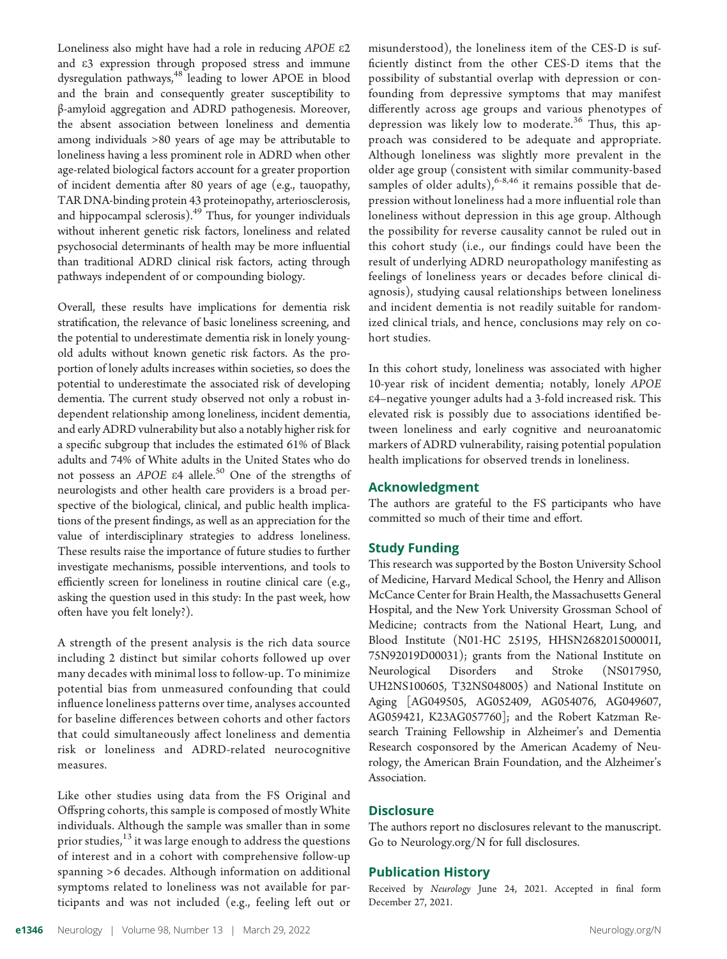Loneliness also might have had a role in reducing APOE  $\varepsilon$ 2 and e3 expression through proposed stress and immune dysregulation pathways,<sup>48</sup> leading to lower APOE in blood and the brain and consequently greater susceptibility to β-amyloid aggregation and ADRD pathogenesis. Moreover, the absent association between loneliness and dementia among individuals >80 years of age may be attributable to loneliness having a less prominent role in ADRD when other age-related biological factors account for a greater proportion of incident dementia after 80 years of age (e.g., tauopathy, TAR DNA-binding protein 43 proteinopathy, arteriosclerosis, and hippocampal sclerosis).<sup>49</sup> Thus, for younger individuals without inherent genetic risk factors, loneliness and related psychosocial determinants of health may be more influential than traditional ADRD clinical risk factors, acting through pathways independent of or compounding biology.

Overall, these results have implications for dementia risk stratification, the relevance of basic loneliness screening, and the potential to underestimate dementia risk in lonely youngold adults without known genetic risk factors. As the proportion of lonely adults increases within societies, so does the potential to underestimate the associated risk of developing dementia. The current study observed not only a robust independent relationship among loneliness, incident dementia, and early ADRD vulnerability but also a notably higher risk for a specific subgroup that includes the estimated 61% of Black adults and 74% of White adults in the United States who do not possess an APOE  $\varepsilon$ 4 allele.<sup>50</sup> One of the strengths of neurologists and other health care providers is a broad perspective of the biological, clinical, and public health implications of the present findings, as well as an appreciation for the value of interdisciplinary strategies to address loneliness. These results raise the importance of future studies to further investigate mechanisms, possible interventions, and tools to efficiently screen for loneliness in routine clinical care (e.g., asking the question used in this study: In the past week, how often have you felt lonely?).

A strength of the present analysis is the rich data source including 2 distinct but similar cohorts followed up over many decades with minimal loss to follow-up. To minimize potential bias from unmeasured confounding that could influence loneliness patterns over time, analyses accounted for baseline differences between cohorts and other factors that could simultaneously affect loneliness and dementia risk or loneliness and ADRD-related neurocognitive measures.

Like other studies using data from the FS Original and Offspring cohorts, this sample is composed of mostly White individuals. Although the sample was smaller than in some prior studies,<sup>13</sup> it was large enough to address the questions of interest and in a cohort with comprehensive follow-up spanning >6 decades. Although information on additional symptoms related to loneliness was not available for participants and was not included (e.g., feeling left out or

misunderstood), the loneliness item of the CES-D is sufficiently distinct from the other CES-D items that the possibility of substantial overlap with depression or confounding from depressive symptoms that may manifest differently across age groups and various phenotypes of depression was likely low to moderate.<sup>36</sup> Thus, this approach was considered to be adequate and appropriate. Although loneliness was slightly more prevalent in the older age group (consistent with similar community-based samples of older adults),  $6-8,46$  it remains possible that depression without loneliness had a more influential role than loneliness without depression in this age group. Although the possibility for reverse causality cannot be ruled out in this cohort study (i.e., our findings could have been the result of underlying ADRD neuropathology manifesting as feelings of loneliness years or decades before clinical diagnosis), studying causal relationships between loneliness and incident dementia is not readily suitable for randomized clinical trials, and hence, conclusions may rely on cohort studies.

In this cohort study, loneliness was associated with higher 10-year risk of incident dementia; notably, lonely APOE e4–negative younger adults had a 3-fold increased risk. This elevated risk is possibly due to associations identified between loneliness and early cognitive and neuroanatomic markers of ADRD vulnerability, raising potential population health implications for observed trends in loneliness.

#### Acknowledgment

The authors are grateful to the FS participants who have committed so much of their time and effort.

#### Study Funding

This research was supported by the Boston University School of Medicine, Harvard Medical School, the Henry and Allison McCance Center for Brain Health, the Massachusetts General Hospital, and the New York University Grossman School of Medicine; contracts from the National Heart, Lung, and Blood Institute (N01-HC 25195, HHSN268201500001I, 75N92019D00031); grants from the National Institute on Neurological Disorders and Stroke (NS017950, UH2NS100605, T32NS048005) and National Institute on Aging [AG049505, AG052409, AG054076, AG049607, AG059421, K23AG057760]; and the Robert Katzman Research Training Fellowship in Alzheimer's and Dementia Research cosponsored by the American Academy of Neurology, the American Brain Foundation, and the Alzheimer's Association.

#### **Disclosure**

The authors report no disclosures relevant to the manuscript. Go to [Neurology.org/N](https://n.neurology.org/lookup/doi/10.1212/WNL.0000000000200039) for full disclosures.

#### Publication History

Received by Neurology June 24, 2021. Accepted in final form December 27, 2021.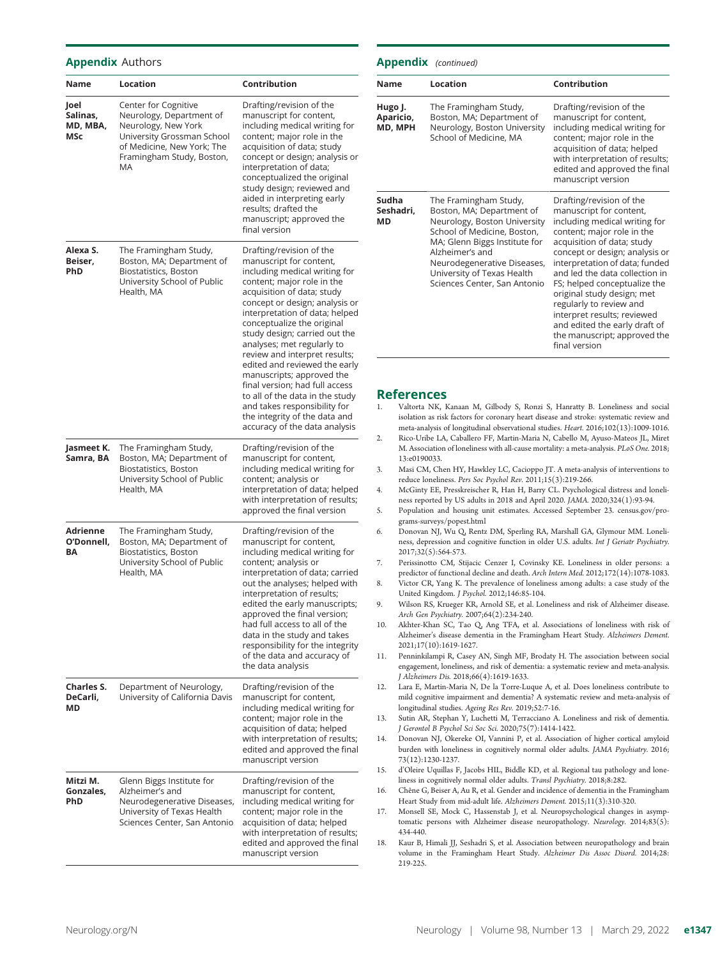#### Appendix Authors

| Name                                | Location                                                                                                                                                               | Contribution                                                                                                                                                                                                                                                                                                                                                                                                                                                                                                                                                                            |
|-------------------------------------|------------------------------------------------------------------------------------------------------------------------------------------------------------------------|-----------------------------------------------------------------------------------------------------------------------------------------------------------------------------------------------------------------------------------------------------------------------------------------------------------------------------------------------------------------------------------------------------------------------------------------------------------------------------------------------------------------------------------------------------------------------------------------|
| Joel<br>Salinas,<br>MD, MBA,<br>MSc | Center for Cognitive<br>Neurology, Department of<br>Neurology, New York<br>University Grossman School<br>of Medicine, New York; The<br>Framingham Study, Boston,<br>MA | Drafting/revision of the<br>manuscript for content,<br>including medical writing for<br>content; major role in the<br>acquisition of data; study<br>concept or design; analysis or<br>interpretation of data;<br>conceptualized the original<br>study design; reviewed and<br>aided in interpreting early<br>results; drafted the<br>manuscript; approved the<br>final version                                                                                                                                                                                                          |
| Alexa S.<br>Beiser,<br>PhD          | The Framingham Study,<br>Boston, MA; Department of<br>Biostatistics, Boston<br>University School of Public<br>Health, MA                                               | Drafting/revision of the<br>manuscript for content,<br>including medical writing for<br>content; major role in the<br>acquisition of data; study<br>concept or design; analysis or<br>interpretation of data; helped<br>conceptualize the original<br>study design; carried out the<br>analyses; met regularly to<br>review and interpret results;<br>edited and reviewed the early<br>manuscripts; approved the<br>final version; had full access<br>to all of the data in the study<br>and takes responsibility for<br>the integrity of the data and<br>accuracy of the data analysis |
| Jasmeet K.<br>Samra, BA             | The Framingham Study,<br>Boston, MA; Department of<br>Biostatistics, Boston<br>University School of Public<br>Health, MA                                               | Drafting/revision of the<br>manuscript for content,<br>including medical writing for<br>content; analysis or<br>interpretation of data; helped<br>with interpretation of results;<br>approved the final version                                                                                                                                                                                                                                                                                                                                                                         |
| Adrienne<br>O'Donnell,<br>ΒA        | The Framingham Study,<br>Boston, MA; Department of<br>Biostatistics, Boston<br>University School of Public<br>Health, MA                                               | Drafting/revision of the<br>manuscript for content,<br>including medical writing for<br>content; analysis or<br>interpretation of data; carried<br>out the analyses; helped with<br>interpretation of results;<br>edited the early manuscripts;<br>approved the final version;<br>had full access to all of the<br>data in the study and takes<br>responsibility for the integrity<br>of the data and accuracy of<br>the data analysis                                                                                                                                                  |
| <b>Charles S.</b><br>DeCarli,<br>МD | Department of Neurology,<br>University of California Davis                                                                                                             | Drafting/revision of the<br>manuscript for content,<br>including medical writing for<br>content; major role in the<br>acquisition of data; helped<br>with interpretation of results;<br>edited and approved the final<br>manuscript version                                                                                                                                                                                                                                                                                                                                             |
| Mitzi M.<br>Gonzales,<br>PhD        | Glenn Biggs Institute for<br>Alzheimer's and<br>Neurodegenerative Diseases,<br>University of Texas Health<br>Sciences Center, San Antonio                              | Drafting/revision of the<br>manuscript for content,<br>including medical writing for<br>content; major role in the<br>acquisition of data; helped<br>with interpretation of results;<br>edited and approved the final<br>manuscript version                                                                                                                                                                                                                                                                                                                                             |

#### Appendix (continued)

| Name                            | Location                                                                                                                                                                                                                                                           | Contribution                                                                                                                                                                                                                                                                                                                                                                                                                                                     |
|---------------------------------|--------------------------------------------------------------------------------------------------------------------------------------------------------------------------------------------------------------------------------------------------------------------|------------------------------------------------------------------------------------------------------------------------------------------------------------------------------------------------------------------------------------------------------------------------------------------------------------------------------------------------------------------------------------------------------------------------------------------------------------------|
| Hugo J.<br>Aparicio,<br>MD, MPH | The Framingham Study,<br>Boston, MA; Department of<br>Neurology, Boston University<br>School of Medicine, MA                                                                                                                                                       | Drafting/revision of the<br>manuscript for content,<br>including medical writing for<br>content; major role in the<br>acquisition of data; helped<br>with interpretation of results;<br>edited and approved the final<br>manuscript version                                                                                                                                                                                                                      |
| Sudha<br>Seshadri,<br>МD        | The Framingham Study,<br>Boston, MA; Department of<br>Neurology, Boston University<br>School of Medicine, Boston,<br>MA; Glenn Biggs Institute for<br>Alzheimer's and<br>Neurodegenerative Diseases,<br>University of Texas Health<br>Sciences Center, San Antonio | Drafting/revision of the<br>manuscript for content,<br>including medical writing for<br>content; major role in the<br>acquisition of data; study<br>concept or design; analysis or<br>interpretation of data; funded<br>and led the data collection in<br>FS; helped conceptualize the<br>original study design; met<br>regularly to review and<br>interpret results; reviewed<br>and edited the early draft of<br>the manuscript; approved the<br>final version |

#### **References**

| 1. | Valtorta NK, Kanaan M, Gilbody S, Ronzi S, Hanratty B. Loneliness and social           |
|----|----------------------------------------------------------------------------------------|
|    | isolation as risk factors for coronary heart disease and stroke: systematic review and |
|    | meta-analysis of longitudinal observational studies. Heart. 2016;102(13):1009-1016.    |

- 2. Rico-Uribe LA, Caballero FF, Martin-Maria N, Cabello M, Ayuso-Mateos JL, Miret M. Association of loneliness with all-cause mortality: a meta-analysis. PLoS One. 2018; 13:e0190033.
- 3. Masi CM, Chen HY, Hawkley LC, Cacioppo JT. A meta-analysis of interventions to reduce loneliness. Pers Soc Psychol Rev. 2011;15(3):219-266.
- 4. McGinty EE, Presskreischer R, Han H, Barry CL. Psychological distress and loneliness reported by US adults in 2018 and April 2020. JAMA. 2020;324(1):93-94.
- 5. Population and housing unit estimates. Accessed September 23. [census.gov/pro](http://census.gov/programs-surveys/popest.html)[grams-surveys/popest.html](http://census.gov/programs-surveys/popest.html)
- 6. Donovan NJ, Wu Q, Rentz DM, Sperling RA, Marshall GA, Glymour MM. Loneliness, depression and cognitive function in older U.S. adults. Int J Geriatr Psychiatry. 2017;32(5):564-573.
- 7. Perissinotto CM, Stijacic Cenzer I, Covinsky KE. Loneliness in older persons: a predictor of functional decline and death. Arch Intern Med. 2012;172(14):1078-1083.
- 8. Victor CR, Yang K. The prevalence of loneliness among adults: a case study of the United Kingdom. J Psychol. 2012;146:85-104.
- 9. Wilson RS, Krueger KR, Arnold SE, et al. Loneliness and risk of Alzheimer disease. Arch Gen Psychiatry. 2007;64(2):234-240.
- 10. Akhter-Khan SC, Tao Q, Ang TFA, et al. Associations of loneliness with risk of Alzheimer's disease dementia in the Framingham Heart Study. Alzheimers Dement. 2021;17(10):1619-1627.
- 11. Penninkilampi R, Casey AN, Singh MF, Brodaty H. The association between social engagement, loneliness, and risk of dementia: a systematic review and meta-analysis. J Alzheimers Dis. 2018;66(4):1619-1633.
- 12. Lara E, Martin-Maria N, De la Torre-Luque A, et al. Does loneliness contribute to mild cognitive impairment and dementia? A systematic review and meta-analysis of longitudinal studies. Ageing Res Rev. 2019;52:7-16.
- 13. Sutin AR, Stephan Y, Luchetti M, Terracciano A. Loneliness and risk of dementia. J Gerontol B Psychol Sci Soc Sci. 2020;75(7):1414-1422.
- 14. Donovan NJ, Okereke OI, Vannini P, et al. Association of higher cortical amyloid burden with loneliness in cognitively normal older adults. JAMA Psychiatry. 2016; 73(12):1230-1237.
- 15. d'Oleire Uquillas F, Jacobs HIL, Biddle KD, et al. Regional tau pathology and loneliness in cognitively normal older adults. Transl Psychiatry. 2018;8:282.
- 16. Chêne G, Beiser A, Au R, et al. Gender and incidence of dementia in the Framingham Heart Study from mid-adult life. Alzheimers Dement. 2015;11(3):310-320.
- 17. Monsell SE, Mock C, Hassenstab J, et al. Neuropsychological changes in asymptomatic persons with Alzheimer disease neuropathology. Neurology. 2014;83(5): 434-440.
- 18. Kaur B, Himali JJ, Seshadri S, et al. Association between neuropathology and brain volume in the Framingham Heart Study. Alzheimer Dis Assoc Disord. 2014;28: 219-225.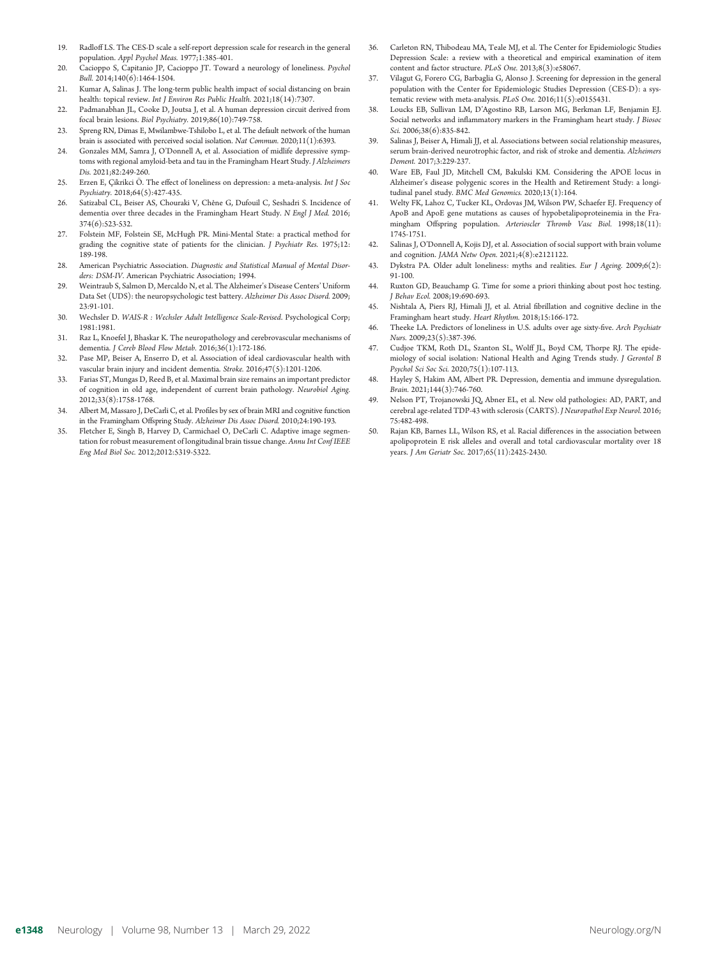- 19. Radloff LS. The CES-D scale a self-report depression scale for research in the general population. Appl Psychol Meas. 1977;1:385-401.
- 20. Cacioppo S, Capitanio JP, Cacioppo JT. Toward a neurology of loneliness. Psychol Bull. 2014;140(6):1464-1504.
- 21. Kumar A, Salinas J. The long-term public health impact of social distancing on brain health: topical review. Int J Environ Res Public Health. 2021;18(14):7307.
- 22. Padmanabhan IL, Cooke D, Joutsa J, et al. A human depression circuit derived from focal brain lesions. Biol Psychiatry. 2019;86(10):749-758.
- 23. Spreng RN, Dimas E, Mwilambwe-Tshilobo L, et al. The default network of the human brain is associated with perceived social isolation. Nat Commun. 2020;11(1):6393.
- 24. Gonzales MM, Samra J, O'Donnell A, et al. Association of midlife depressive symptoms with regional amyloid-beta and tau in the Framingham Heart Study. J Alzheimers Dis. 2021;82:249-260.
- 25. Erzen E, Çikrikci Ö. The effect of loneliness on depression: a meta-analysis. Int J Soc Psychiatry. 2018;64(5):427-435.
- 26. Satizabal CL, Beiser AS, Chouraki V, Chêne G, Dufouil C, Seshadri S. Incidence of dementia over three decades in the Framingham Heart Study. N Engl J Med. 2016; 374(6):523-532.
- 27. Folstein MF, Folstein SE, McHugh PR. Mini-Mental State: a practical method for grading the cognitive state of patients for the clinician. J Psychiatr Res. 1975;12: 189-198.
- 28. American Psychiatric Association. Diagnostic and Statistical Manual of Mental Disorders: DSM-IV. American Psychiatric Association; 1994.
- 29. Weintraub S, Salmon D, Mercaldo N, et al. The Alzheimer's Disease Centers'Uniform Data Set (UDS): the neuropsychologic test battery. Alzheimer Dis Assoc Disord. 2009; 23:91-101.
- 30. Wechsler D. WAIS-R : Wechsler Adult Intelligence Scale-Revised. Psychological Corp; 1981:1981.
- 31. Raz L, Knoefel J, Bhaskar K. The neuropathology and cerebrovascular mechanisms of dementia. J Cereb Blood Flow Metab. 2016;36(1):172-186.
- 32. Pase MP, Beiser A, Enserro D, et al. Association of ideal cardiovascular health with vascular brain injury and incident dementia. Stroke. 2016;47(5):1201-1206.
- 33. Farias ST, Mungas D, Reed B, et al. Maximal brain size remains an important predictor of cognition in old age, independent of current brain pathology. Neurobiol Aging. 2012;33(8):1758-1768.
- 34. Albert M, Massaro J, DeCarli C, et al. Profiles by sex of brain MRI and cognitive function in the Framingham Offspring Study. Alzheimer Dis Assoc Disord. 2010;24:190-193.
- Fletcher E, Singh B, Harvey D, Carmichael O, DeCarli C. Adaptive image segmentation for robust measurement of longitudinal brain tissue change. Annu Int Conf IEEE Eng Med Biol Soc. 2012;2012:5319-5322.
- 36. Carleton RN, Thibodeau MA, Teale MJ, et al. The Center for Epidemiologic Studies Depression Scale: a review with a theoretical and empirical examination of item content and factor structure. PLoS One. 2013;8(3):e58067.
- 37. Vilagut G, Forero CG, Barbaglia G, Alonso J. Screening for depression in the general population with the Center for Epidemiologic Studies Depression (CES-D): a systematic review with meta-analysis. PLoS One. 2016;11(5):e0155431.
- 38. Loucks EB, Sullivan LM, D'Agostino RB, Larson MG, Berkman LF, Benjamin EJ. Social networks and inflammatory markers in the Framingham heart study. J Biosoc Sci. 2006;38(6):835-842.
- 39. Salinas J, Beiser A, Himali JJ, et al. Associations between social relationship measures, serum brain-derived neurotrophic factor, and risk of stroke and dementia. Alzheimers Dement. 2017;3:229-237.
- 40. Ware EB, Faul JD, Mitchell CM, Bakulski KM. Considering the APOE locus in Alzheimer's disease polygenic scores in the Health and Retirement Study: a longitudinal panel study. BMC Med Genomics. 2020;13(1):164.
- 41. Welty FK, Lahoz C, Tucker KL, Ordovas JM, Wilson PW, Schaefer EJ. Frequency of ApoB and ApoE gene mutations as causes of hypobetalipoproteinemia in the Framingham Offspring population. Arterioscler Thromb Vasc Biol. 1998;18(11): 1745-1751.
- 42. Salinas J, O'Donnell A, Kojis DJ, et al. Association of social support with brain volume and cognition. JAMA Netw Open. 2021;4(8):e2121122.
- 43. Dykstra PA. Older adult loneliness: myths and realities. Eur J Ageing. 2009;6(2): 91-100.
- 44. Ruxton GD, Beauchamp G. Time for some a priori thinking about post hoc testing. J Behav Ecol. 2008;19:690-693.
- 45. Nishtala A, Piers RJ, Himali JJ, et al. Atrial fibrillation and cognitive decline in the Framingham heart study. Heart Rhythm. 2018;15:166-172.
- 46. Theeke LA. Predictors of loneliness in U.S. adults over age sixty-five. Arch Psychiatr Nurs. 2009;23(5):387-396.
- 47. Cudjoe TKM, Roth DL, Szanton SL, Wolff JL, Boyd CM, Thorpe RJ. The epidemiology of social isolation: National Health and Aging Trends study. J Gerontol B Psychol Sci Soc Sci. 2020;75(1):107-113.
- 48. Hayley S, Hakim AM, Albert PR. Depression, dementia and immune dysregulation. Brain. 2021;144(3):746-760.
- 49. Nelson PT, Trojanowski JQ, Abner EL, et al. New old pathologies: AD, PART, and cerebral age-related TDP-43 with sclerosis (CARTS). J Neuropathol Exp Neurol. 2016; 75:482-498.
- 50. Rajan KB, Barnes LL, Wilson RS, et al. Racial differences in the association between apolipoprotein E risk alleles and overall and total cardiovascular mortality over 18 years. J Am Geriatr Soc. 2017;65(11):2425-2430.